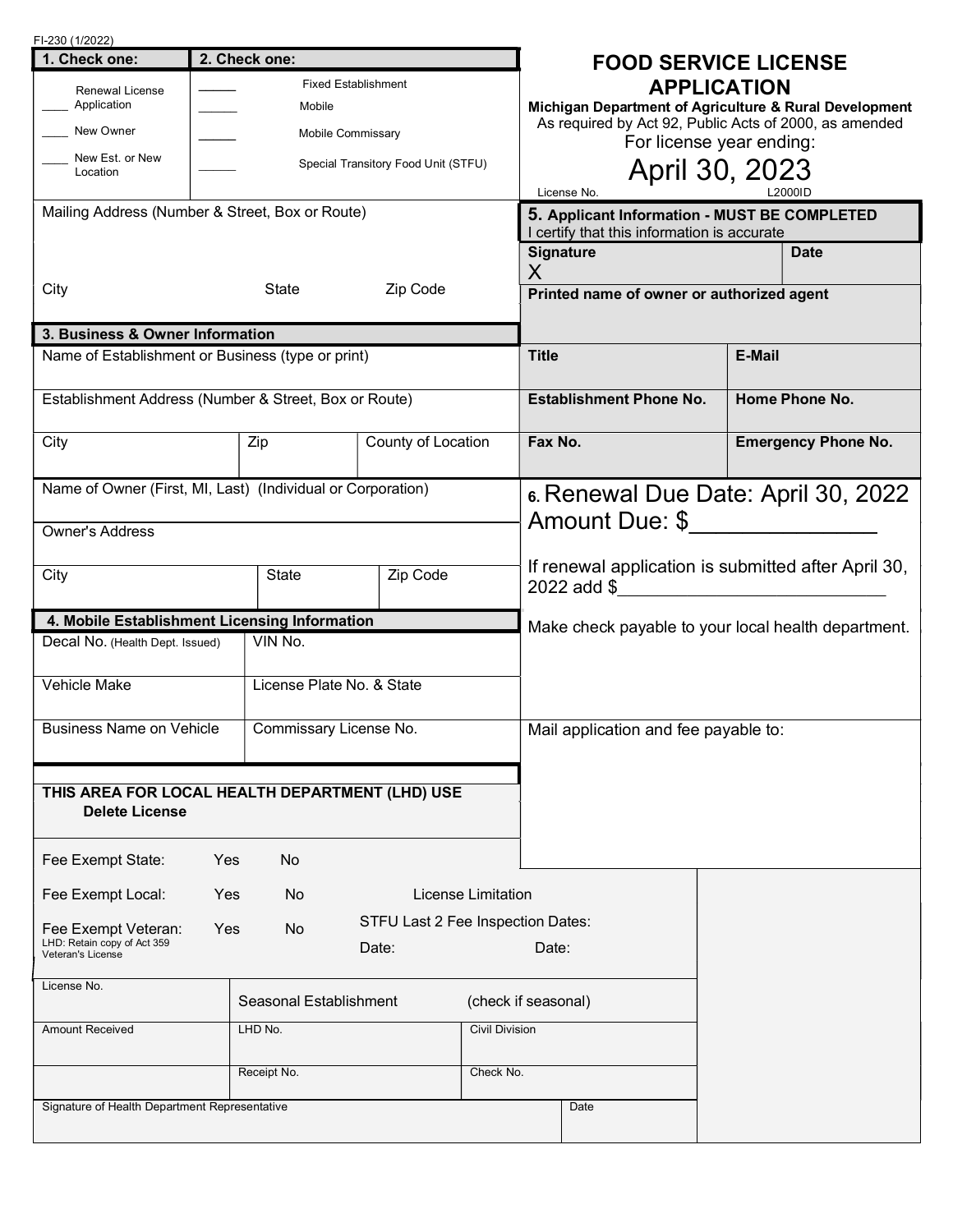| FI-230 (1/2022)                                             |               |                   |                                   |                                      |                                                                                             |                                                        |        |                            |
|-------------------------------------------------------------|---------------|-------------------|-----------------------------------|--------------------------------------|---------------------------------------------------------------------------------------------|--------------------------------------------------------|--------|----------------------------|
| 1. Check one:                                               | 2. Check one: |                   |                                   | <b>FOOD SERVICE LICENSE</b>          |                                                                                             |                                                        |        |                            |
| <b>Fixed Establishment</b><br><b>Renewal License</b>        |               |                   | <b>APPLICATION</b>                |                                      |                                                                                             |                                                        |        |                            |
| Application                                                 |               | Mobile            |                                   |                                      | Michigan Department of Agriculture & Rural Development                                      |                                                        |        |                            |
| New Owner                                                   |               | Mobile Commissary |                                   |                                      |                                                                                             | As required by Act 92, Public Acts of 2000, as amended |        |                            |
| New Est. or New<br>Special Transitory Food Unit (STFU)      |               |                   |                                   | For license year ending:             |                                                                                             |                                                        |        |                            |
| Location                                                    |               |                   |                                   |                                      | April 30, 2023                                                                              |                                                        |        |                            |
|                                                             |               |                   |                                   |                                      |                                                                                             | License No.                                            |        | L2000ID                    |
| Mailing Address (Number & Street, Box or Route)             |               |                   |                                   |                                      | 5. Applicant Information - MUST BE COMPLETED<br>I certify that this information is accurate |                                                        |        |                            |
|                                                             |               |                   |                                   |                                      |                                                                                             | <b>Signature</b>                                       |        | <b>Date</b>                |
|                                                             |               |                   |                                   |                                      | Χ                                                                                           |                                                        |        |                            |
| City                                                        |               | Zip Code<br>State |                                   |                                      |                                                                                             | Printed name of owner or authorized agent              |        |                            |
| 3. Business & Owner Information                             |               |                   |                                   |                                      |                                                                                             |                                                        |        |                            |
| Name of Establishment or Business (type or print)           |               |                   |                                   |                                      | <b>Title</b>                                                                                |                                                        | E-Mail |                            |
| Establishment Address (Number & Street, Box or Route)       |               |                   |                                   |                                      |                                                                                             | <b>Establishment Phone No.</b>                         |        | Home Phone No.             |
|                                                             |               |                   |                                   |                                      |                                                                                             |                                                        |        |                            |
| City                                                        |               | Zip               | County of Location                |                                      | Fax No.                                                                                     |                                                        |        | <b>Emergency Phone No.</b> |
|                                                             |               |                   |                                   |                                      |                                                                                             |                                                        |        |                            |
| Name of Owner (First, MI, Last) (Individual or Corporation) |               |                   |                                   |                                      | 6. Renewal Due Date: April 30, 2022                                                         |                                                        |        |                            |
| <b>Owner's Address</b>                                      |               |                   |                                   |                                      | Amount Due: \$                                                                              |                                                        |        |                            |
|                                                             |               |                   |                                   |                                      |                                                                                             |                                                        |        |                            |
| <b>State</b><br>Zip Code<br>City                            |               |                   |                                   |                                      | If renewal application is submitted after April 30,                                         |                                                        |        |                            |
|                                                             |               |                   |                                   |                                      |                                                                                             | 2022 add \$                                            |        |                            |
| 4. Mobile Establishment Licensing Information               |               |                   |                                   |                                      |                                                                                             | Make check payable to your local health department.    |        |                            |
| VIN No.<br>Decal No. (Health Dept. Issued)                  |               |                   |                                   |                                      |                                                                                             |                                                        |        |                            |
|                                                             |               |                   |                                   |                                      |                                                                                             |                                                        |        |                            |
| Vehicle Make<br>License Plate No. & State                   |               |                   |                                   |                                      |                                                                                             |                                                        |        |                            |
|                                                             |               |                   |                                   |                                      |                                                                                             |                                                        |        |                            |
| <b>Business Name on Vehicle</b><br>Commissary License No.   |               |                   |                                   | Mail application and fee payable to: |                                                                                             |                                                        |        |                            |
|                                                             |               |                   |                                   |                                      |                                                                                             |                                                        |        |                            |
| THIS AREA FOR LOCAL HEALTH DEPARTMENT (LHD) USE             |               |                   |                                   |                                      |                                                                                             |                                                        |        |                            |
| <b>Delete License</b>                                       |               |                   |                                   |                                      |                                                                                             |                                                        |        |                            |
|                                                             |               |                   |                                   |                                      |                                                                                             |                                                        |        |                            |
| Fee Exempt State:                                           | Yes           | No                |                                   |                                      |                                                                                             |                                                        |        |                            |
| Fee Exempt Local:                                           | Yes           | No                |                                   | License Limitation                   |                                                                                             |                                                        |        |                            |
| Fee Exempt Veteran:                                         | Yes           | No                | STFU Last 2 Fee Inspection Dates: |                                      |                                                                                             |                                                        |        |                            |
| LHD: Retain copy of Act 359                                 |               |                   | Date:                             |                                      | Date:                                                                                       |                                                        |        |                            |
| Veteran's License                                           |               |                   |                                   |                                      |                                                                                             |                                                        |        |                            |
| License No.                                                 |               |                   |                                   | (check if seasonal)                  |                                                                                             |                                                        |        |                            |
| Seasonal Establishment                                      |               |                   |                                   |                                      |                                                                                             |                                                        |        |                            |
| LHD No.<br><b>Civil Division</b><br><b>Amount Received</b>  |               |                   |                                   |                                      |                                                                                             |                                                        |        |                            |
|                                                             |               | Receipt No.       |                                   | Check No.                            |                                                                                             |                                                        |        |                            |
|                                                             |               |                   |                                   |                                      |                                                                                             |                                                        |        |                            |
| Signature of Health Department Representative               |               |                   |                                   |                                      |                                                                                             | Date                                                   |        |                            |
|                                                             |               |                   |                                   |                                      |                                                                                             |                                                        |        |                            |